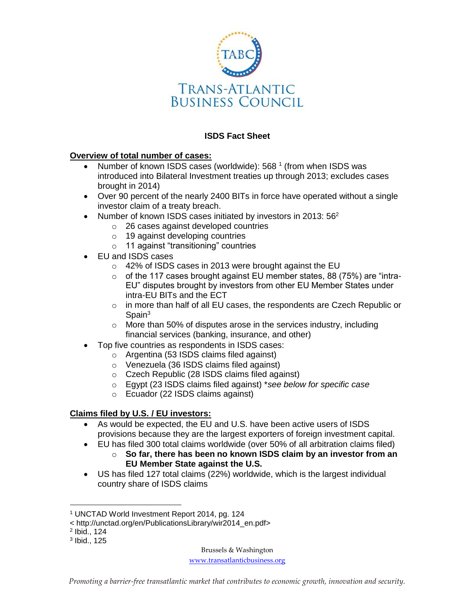

# **ISDS Fact Sheet**

## **Overview of total number of cases:**

- Number of known ISDS cases (worldwide):  $568<sup>1</sup>$  (from when ISDS was introduced into Bilateral Investment treaties up through 2013; excludes cases brought in 2014)
- Over 90 percent of the nearly 2400 BITs in force have operated without a single investor claim of a treaty breach.
- Number of known ISDS cases initiated by investors in 2013:  $56<sup>2</sup>$ 
	- o 26 cases against developed countries
		- o 19 against developing countries
		- o 11 against "transitioning" countries
- EU and ISDS cases
	- o 42% of ISDS cases in 2013 were brought against the EU
	- $\circ$  of the 117 cases brought against EU member states, 88 (75%) are "intra-EU" disputes brought by investors from other EU Member States under intra-EU BITs and the ECT
	- $\circ$  in more than half of all EU cases, the respondents are Czech Republic or Spain<sup>3</sup>
	- $\circ$  More than 50% of disputes arose in the services industry, including financial services (banking, insurance, and other)
- Top five countries as respondents in ISDS cases:
	- o Argentina (53 ISDS claims filed against)
	- o Venezuela (36 ISDS claims filed against)
	- o Czech Republic (28 ISDS claims filed against)
	- o Egypt (23 ISDS claims filed against) \**see below for specific case*
	- o Ecuador (22 ISDS claims against)

# **Claims filed by U.S. / EU investors:**

- As would be expected, the EU and U.S. have been active users of ISDS provisions because they are the largest exporters of foreign investment capital.
- EU has filed 300 total claims worldwide (over 50% of all arbitration claims filed)
	- o **So far, there has been no known ISDS claim by an investor from an EU Member State against the U.S.**
- US has filed 127 total claims (22%) worldwide, which is the largest individual country share of ISDS claims

< http://unctad.org/en/PublicationsLibrary/wir2014\_en.pdf>

 $\overline{a}$ 

Brussels & Washington

[www.transatlanticbusiness.org](http://www.transatlanticbusiness.org/)

<sup>1</sup> UNCTAD World Investment Report 2014, pg. 124

<sup>2</sup> Ibid., 124

<sup>3</sup> Ibid., 125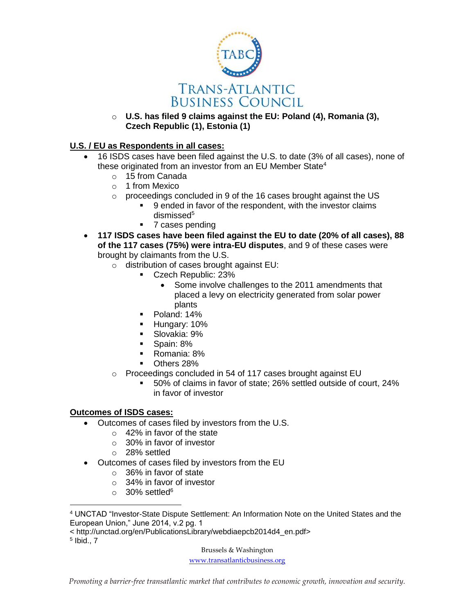

o **U.S. has filed 9 claims against the EU: Poland (4), Romania (3), Czech Republic (1), Estonia (1)**

### **U.S. / EU as Respondents in all cases:**

- 16 ISDS cases have been filed against the U.S. to date (3% of all cases), none of these originated from an investor from an EU Member State<sup>4</sup>
	- o 15 from Canada
	- o 1 from Mexico
	- o proceedings concluded in 9 of the 16 cases brought against the US
		- 9 ended in favor of the respondent, with the investor claims dismissed<sup>5</sup>
		- 7 cases pending
- **117 ISDS cases have been filed against the EU to date (20% of all cases), 88 of the 117 cases (75%) were intra-EU disputes**, and 9 of these cases were brought by claimants from the U.S.
	- o distribution of cases brought against EU:
		- Czech Republic: 23%
			- Some involve challenges to the 2011 amendments that placed a levy on electricity generated from solar power plants
			- Poland: 14%
		- **Hungary: 10%**
		- Slovakia: 9%
		- Spain: 8%
		- Romania: 8%
		- **Others 28%**
	- o Proceedings concluded in 54 of 117 cases brought against EU
		- 50% of claims in favor of state; 26% settled outside of court, 24% in favor of investor

### **Outcomes of ISDS cases:**

- Outcomes of cases filed by investors from the U.S.
	- o 42% in favor of the state
	- o 30% in favor of investor
	- o 28% settled
- Outcomes of cases filed by investors from the EU
	- o 36% in favor of state
	- o 34% in favor of investor
	- $\circ$  30% settled<sup>6</sup>

< http://unctad.org/en/PublicationsLibrary/webdiaepcb2014d4\_en.pdf>

 $\overline{a}$ 

Brussels & Washington

[www.transatlanticbusiness.org](http://www.transatlanticbusiness.org/)

<sup>4</sup> UNCTAD "Investor-State Dispute Settlement: An Information Note on the United States and the European Union," June 2014, v.2 pg. 1

<sup>5</sup> Ibid., 7